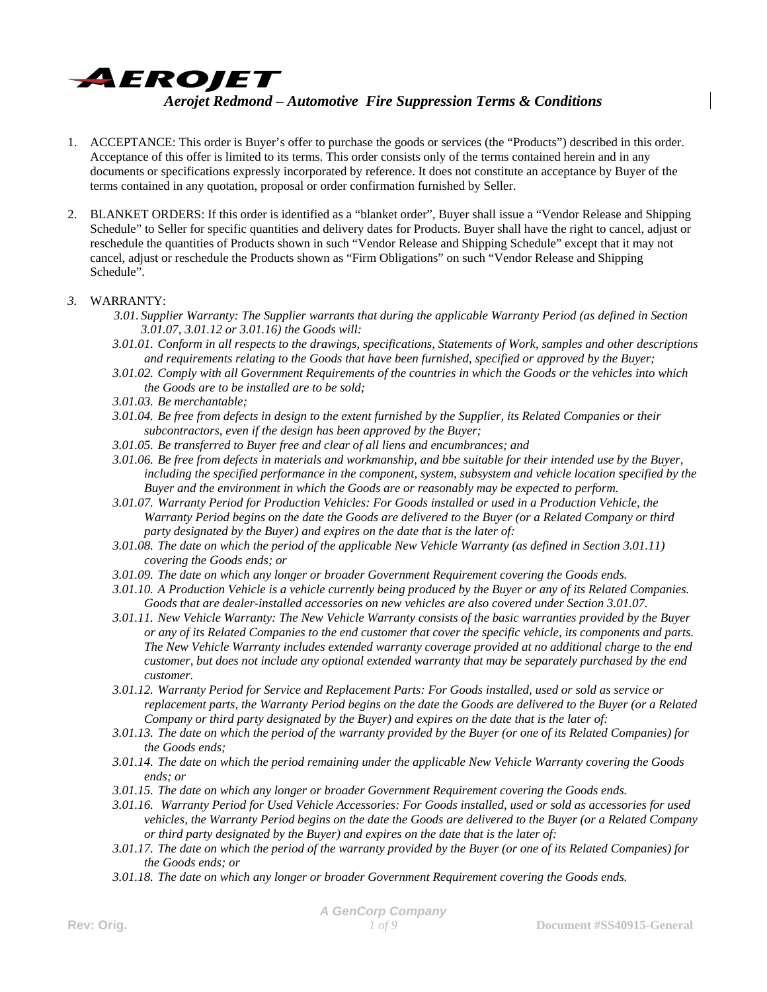

- 1. ACCEPTANCE: This order is Buyer's offer to purchase the goods or services (the "Products") described in this order. Acceptance of this offer is limited to its terms. This order consists only of the terms contained herein and in any documents or specifications expressly incorporated by reference. It does not constitute an acceptance by Buyer of the terms contained in any quotation, proposal or order confirmation furnished by Seller.
- 2. BLANKET ORDERS: If this order is identified as a "blanket order", Buyer shall issue a "Vendor Release and Shipping Schedule" to Seller for specific quantities and delivery dates for Products. Buyer shall have the right to cancel, adjust or reschedule the quantities of Products shown in such "Vendor Release and Shipping Schedule" except that it may not cancel, adjust or reschedule the Products shown as "Firm Obligations" on such "Vendor Release and Shipping Schedule".

### *3.* WARRANTY:

- *3.01. Supplier Warranty: The Supplier warrants that during the applicable Warranty Period (as defined in Section 3.01.07, 3.01.12 or 3.01.16) the Goods will:*
- *3.01.01. Conform in all respects to the drawings, specifications, Statements of Work, samples and other descriptions and requirements relating to the Goods that have been furnished, specified or approved by the Buyer;*
- *3.01.02. Comply with all Government Requirements of the countries in which the Goods or the vehicles into which the Goods are to be installed are to be sold;*
- *3.01.03. Be merchantable;*
- *3.01.04. Be free from defects in design to the extent furnished by the Supplier, its Related Companies or their subcontractors, even if the design has been approved by the Buyer;*
- *3.01.05. Be transferred to Buyer free and clear of all liens and encumbrances; and*
- *3.01.06. Be free from defects in materials and workmanship, and bbe suitable for their intended use by the Buyer, including the specified performance in the component, system, subsystem and vehicle location specified by the Buyer and the environment in which the Goods are or reasonably may be expected to perform.*
- *3.01.07. Warranty Period for Production Vehicles: For Goods installed or used in a Production Vehicle, the Warranty Period begins on the date the Goods are delivered to the Buyer (or a Related Company or third party designated by the Buyer) and expires on the date that is the later of:*
- *3.01.08. The date on which the period of the applicable New Vehicle Warranty (as defined in Section 3.01.11) covering the Goods ends; or*
- *3.01.09. The date on which any longer or broader Government Requirement covering the Goods ends.*
- *3.01.10. A Production Vehicle is a vehicle currently being produced by the Buyer or any of its Related Companies. Goods that are dealer-installed accessories on new vehicles are also covered under Section 3.01.07.*
- *3.01.11. New Vehicle Warranty: The New Vehicle Warranty consists of the basic warranties provided by the Buyer or any of its Related Companies to the end customer that cover the specific vehicle, its components and parts. The New Vehicle Warranty includes extended warranty coverage provided at no additional charge to the end customer, but does not include any optional extended warranty that may be separately purchased by the end customer.*
- *3.01.12. Warranty Period for Service and Replacement Parts: For Goods installed, used or sold as service or replacement parts, the Warranty Period begins on the date the Goods are delivered to the Buyer (or a Related Company or third party designated by the Buyer) and expires on the date that is the later of:*
- *3.01.13. The date on which the period of the warranty provided by the Buyer (or one of its Related Companies) for the Goods ends;*
- *3.01.14. The date on which the period remaining under the applicable New Vehicle Warranty covering the Goods ends; or*
- *3.01.15. The date on which any longer or broader Government Requirement covering the Goods ends.*
- *3.01.16. Warranty Period for Used Vehicle Accessories: For Goods installed, used or sold as accessories for used vehicles, the Warranty Period begins on the date the Goods are delivered to the Buyer (or a Related Company or third party designated by the Buyer) and expires on the date that is the later of:*
- *3.01.17. The date on which the period of the warranty provided by the Buyer (or one of its Related Companies) for the Goods ends; or*
- *3.01.18. The date on which any longer or broader Government Requirement covering the Goods ends.*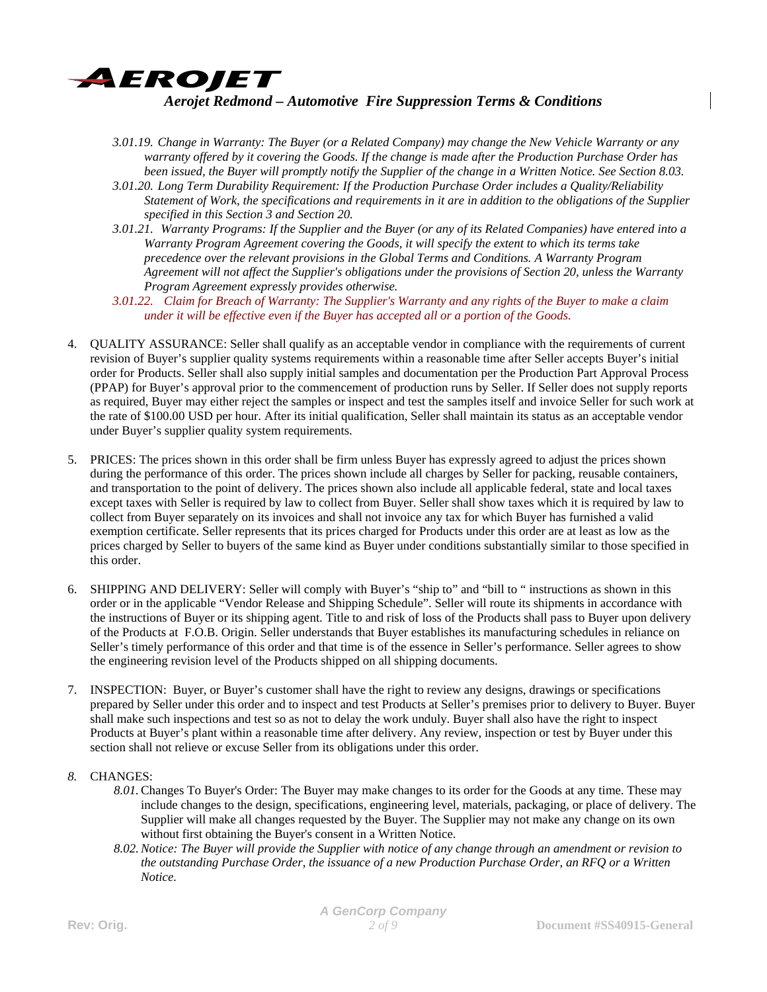

- *3.01.19. Change in Warranty: The Buyer (or a Related Company) may change the New Vehicle Warranty or any warranty offered by it covering the Goods. If the change is made after the Production Purchase Order has been issued, the Buyer will promptly notify the Supplier of the change in a Written Notice. See Section 8.03.*
- *3.01.20. Long Term Durability Requirement: If the Production Purchase Order includes a Quality/Reliability Statement of Work, the specifications and requirements in it are in addition to the obligations of the Supplier specified in this Section 3 and Section 20.*
- *3.01.21. Warranty Programs: If the Supplier and the Buyer (or any of its Related Companies) have entered into a Warranty Program Agreement covering the Goods, it will specify the extent to which its terms take precedence over the relevant provisions in the Global Terms and Conditions. A Warranty Program Agreement will not affect the Supplier's obligations under the provisions of Section 20, unless the Warranty Program Agreement expressly provides otherwise.*
- *3.01.22. Claim for Breach of Warranty: The Supplier's Warranty and any rights of the Buyer to make a claim under it will be effective even if the Buyer has accepted all or a portion of the Goods.*
- 4. QUALITY ASSURANCE: Seller shall qualify as an acceptable vendor in compliance with the requirements of current revision of Buyer's supplier quality systems requirements within a reasonable time after Seller accepts Buyer's initial order for Products. Seller shall also supply initial samples and documentation per the Production Part Approval Process (PPAP) for Buyer's approval prior to the commencement of production runs by Seller. If Seller does not supply reports as required, Buyer may either reject the samples or inspect and test the samples itself and invoice Seller for such work at the rate of \$100.00 USD per hour. After its initial qualification, Seller shall maintain its status as an acceptable vendor under Buyer's supplier quality system requirements.
- 5. PRICES: The prices shown in this order shall be firm unless Buyer has expressly agreed to adjust the prices shown during the performance of this order. The prices shown include all charges by Seller for packing, reusable containers, and transportation to the point of delivery. The prices shown also include all applicable federal, state and local taxes except taxes with Seller is required by law to collect from Buyer. Seller shall show taxes which it is required by law to collect from Buyer separately on its invoices and shall not invoice any tax for which Buyer has furnished a valid exemption certificate. Seller represents that its prices charged for Products under this order are at least as low as the prices charged by Seller to buyers of the same kind as Buyer under conditions substantially similar to those specified in this order.
- 6. SHIPPING AND DELIVERY: Seller will comply with Buyer's "ship to" and "bill to " instructions as shown in this order or in the applicable "Vendor Release and Shipping Schedule". Seller will route its shipments in accordance with the instructions of Buyer or its shipping agent. Title to and risk of loss of the Products shall pass to Buyer upon delivery of the Products at F.O.B. Origin. Seller understands that Buyer establishes its manufacturing schedules in reliance on Seller's timely performance of this order and that time is of the essence in Seller's performance. Seller agrees to show the engineering revision level of the Products shipped on all shipping documents.
- 7. INSPECTION: Buyer, or Buyer's customer shall have the right to review any designs, drawings or specifications prepared by Seller under this order and to inspect and test Products at Seller's premises prior to delivery to Buyer. Buyer shall make such inspections and test so as not to delay the work unduly. Buyer shall also have the right to inspect Products at Buyer's plant within a reasonable time after delivery. Any review, inspection or test by Buyer under this section shall not relieve or excuse Seller from its obligations under this order.

### *8.* CHANGES:

- *8.01.*Changes To Buyer's Order: The Buyer may make changes to its order for the Goods at any time. These may include changes to the design, specifications, engineering level, materials, packaging, or place of delivery. The Supplier will make all changes requested by the Buyer. The Supplier may not make any change on its own without first obtaining the Buyer's consent in a Written Notice.
- *8.02.Notice: The Buyer will provide the Supplier with notice of any change through an amendment or revision to the outstanding Purchase Order, the issuance of a new Production Purchase Order, an RFQ or a Written Notice.*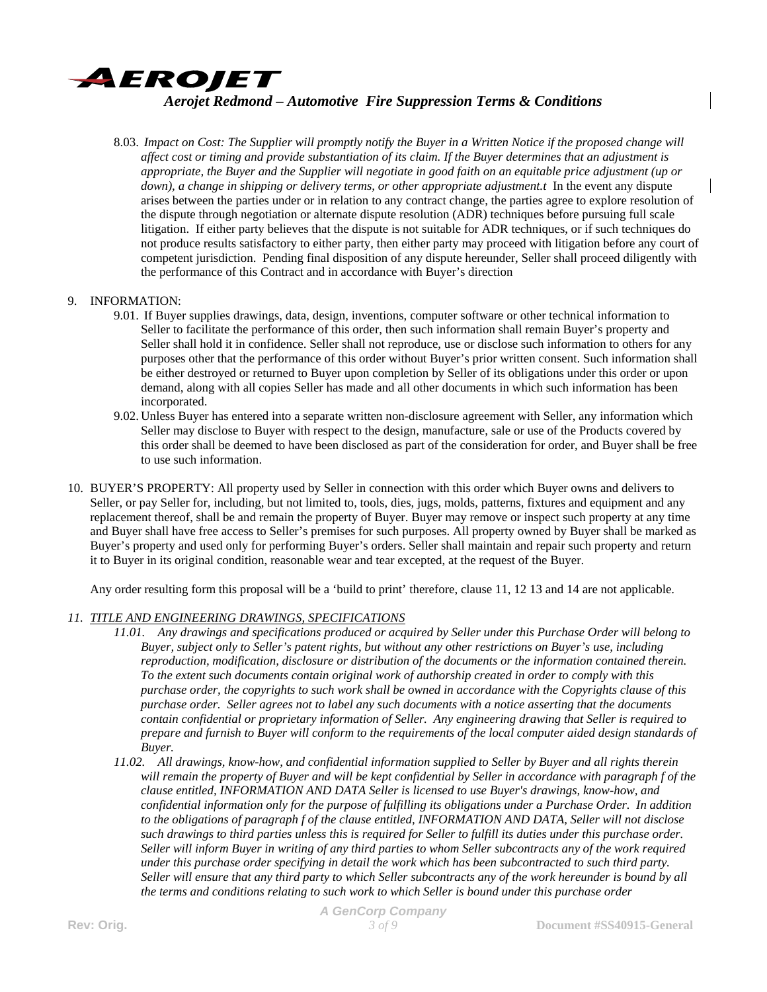

8.03. *Impact on Cost: The Supplier will promptly notify the Buyer in a Written Notice if the proposed change will affect cost or timing and provide substantiation of its claim. If the Buyer determines that an adjustment is appropriate, the Buyer and the Supplier will negotiate in good faith on an equitable price adjustment (up or down), a change in shipping or delivery terms, or other appropriate adjustment.t* In the event any dispute arises between the parties under or in relation to any contract change, the parties agree to explore resolution of the dispute through negotiation or alternate dispute resolution (ADR) techniques before pursuing full scale litigation. If either party believes that the dispute is not suitable for ADR techniques, or if such techniques do not produce results satisfactory to either party, then either party may proceed with litigation before any court of competent jurisdiction. Pending final disposition of any dispute hereunder, Seller shall proceed diligently with the performance of this Contract and in accordance with Buyer's direction

#### 9. INFORMATION:

- 9.01. If Buyer supplies drawings, data, design, inventions, computer software or other technical information to Seller to facilitate the performance of this order, then such information shall remain Buyer's property and Seller shall hold it in confidence. Seller shall not reproduce, use or disclose such information to others for any purposes other that the performance of this order without Buyer's prior written consent. Such information shall be either destroyed or returned to Buyer upon completion by Seller of its obligations under this order or upon demand, along with all copies Seller has made and all other documents in which such information has been incorporated.
- 9.02. Unless Buyer has entered into a separate written non-disclosure agreement with Seller, any information which Seller may disclose to Buyer with respect to the design, manufacture, sale or use of the Products covered by this order shall be deemed to have been disclosed as part of the consideration for order, and Buyer shall be free to use such information.
- 10. BUYER'S PROPERTY: All property used by Seller in connection with this order which Buyer owns and delivers to Seller, or pay Seller for, including, but not limited to, tools, dies, jugs, molds, patterns, fixtures and equipment and any replacement thereof, shall be and remain the property of Buyer. Buyer may remove or inspect such property at any time and Buyer shall have free access to Seller's premises for such purposes. All property owned by Buyer shall be marked as Buyer's property and used only for performing Buyer's orders. Seller shall maintain and repair such property and return it to Buyer in its original condition, reasonable wear and tear excepted, at the request of the Buyer.

Any order resulting form this proposal will be a 'build to print' therefore, clause 11, 12 13 and 14 are not applicable.

### *11. TITLE AND ENGINEERING DRAWINGS, SPECIFICATIONS*

- *11.01. Any drawings and specifications produced or acquired by Seller under this Purchase Order will belong to Buyer, subject only to Seller's patent rights, but without any other restrictions on Buyer's use, including reproduction, modification, disclosure or distribution of the documents or the information contained therein. To the extent such documents contain original work of authorship created in order to comply with this purchase order, the copyrights to such work shall be owned in accordance with the Copyrights clause of this purchase order. Seller agrees not to label any such documents with a notice asserting that the documents contain confidential or proprietary information of Seller. Any engineering drawing that Seller is required to prepare and furnish to Buyer will conform to the requirements of the local computer aided design standards of Buyer.*
- *11.02. All drawings, know-how, and confidential information supplied to Seller by Buyer and all rights therein will remain the property of Buyer and will be kept confidential by Seller in accordance with paragraph f of the clause entitled, INFORMATION AND DATA Seller is licensed to use Buyer's drawings, know-how, and confidential information only for the purpose of fulfilling its obligations under a Purchase Order. In addition to the obligations of paragraph f of the clause entitled, INFORMATION AND DATA, Seller will not disclose such drawings to third parties unless this is required for Seller to fulfill its duties under this purchase order. Seller will inform Buyer in writing of any third parties to whom Seller subcontracts any of the work required under this purchase order specifying in detail the work which has been subcontracted to such third party. Seller will ensure that any third party to which Seller subcontracts any of the work hereunder is bound by all the terms and conditions relating to such work to which Seller is bound under this purchase order*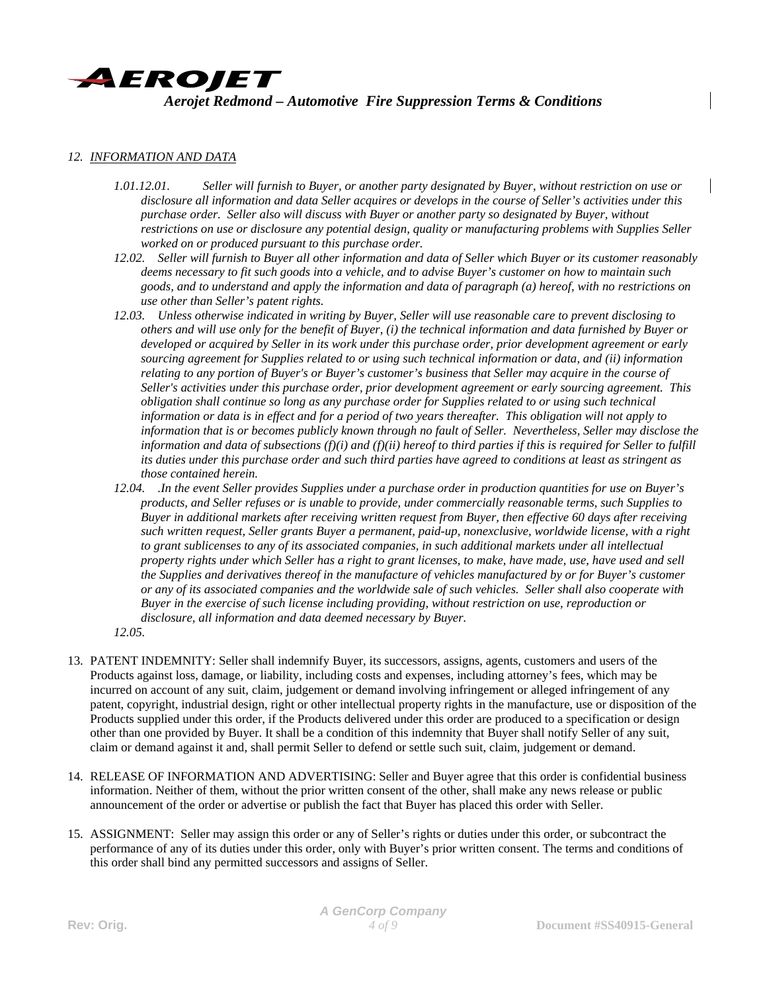

#### *12. INFORMATION AND DATA*

- *1.01.12.01. Seller will furnish to Buyer, or another party designated by Buyer, without restriction on use or disclosure all information and data Seller acquires or develops in the course of Seller's activities under this purchase order. Seller also will discuss with Buyer or another party so designated by Buyer, without restrictions on use or disclosure any potential design, quality or manufacturing problems with Supplies Seller worked on or produced pursuant to this purchase order.*
- *12.02. Seller will furnish to Buyer all other information and data of Seller which Buyer or its customer reasonably deems necessary to fit such goods into a vehicle, and to advise Buyer's customer on how to maintain such goods, and to understand and apply the information and data of paragraph (a) hereof, with no restrictions on use other than Seller's patent rights.*
- *12.03. Unless otherwise indicated in writing by Buyer, Seller will use reasonable care to prevent disclosing to others and will use only for the benefit of Buyer, (i) the technical information and data furnished by Buyer or developed or acquired by Seller in its work under this purchase order, prior development agreement or early sourcing agreement for Supplies related to or using such technical information or data, and (ii) information relating to any portion of Buyer's or Buyer's customer's business that Seller may acquire in the course of Seller's activities under this purchase order, prior development agreement or early sourcing agreement. This obligation shall continue so long as any purchase order for Supplies related to or using such technical information or data is in effect and for a period of two years thereafter. This obligation will not apply to information that is or becomes publicly known through no fault of Seller. Nevertheless, Seller may disclose the information and data of subsections (f)(i) and (f)(ii) hereof to third parties if this is required for Seller to fulfill its duties under this purchase order and such third parties have agreed to conditions at least as stringent as those contained herein.*
- *12.04. .In the event Seller provides Supplies under a purchase order in production quantities for use on Buyer's products, and Seller refuses or is unable to provide, under commercially reasonable terms, such Supplies to Buyer in additional markets after receiving written request from Buyer, then effective 60 days after receiving such written request, Seller grants Buyer a permanent, paid-up, nonexclusive, worldwide license, with a right to grant sublicenses to any of its associated companies, in such additional markets under all intellectual property rights under which Seller has a right to grant licenses, to make, have made, use, have used and sell the Supplies and derivatives thereof in the manufacture of vehicles manufactured by or for Buyer's customer or any of its associated companies and the worldwide sale of such vehicles. Seller shall also cooperate with Buyer in the exercise of such license including providing, without restriction on use, reproduction or disclosure, all information and data deemed necessary by Buyer.*
- *12.05.*
- 13. PATENT INDEMNITY: Seller shall indemnify Buyer, its successors, assigns, agents, customers and users of the Products against loss, damage, or liability, including costs and expenses, including attorney's fees, which may be incurred on account of any suit, claim, judgement or demand involving infringement or alleged infringement of any patent, copyright, industrial design, right or other intellectual property rights in the manufacture, use or disposition of the Products supplied under this order, if the Products delivered under this order are produced to a specification or design other than one provided by Buyer. It shall be a condition of this indemnity that Buyer shall notify Seller of any suit, claim or demand against it and, shall permit Seller to defend or settle such suit, claim, judgement or demand.
- 14. RELEASE OF INFORMATION AND ADVERTISING: Seller and Buyer agree that this order is confidential business information. Neither of them, without the prior written consent of the other, shall make any news release or public announcement of the order or advertise or publish the fact that Buyer has placed this order with Seller.
- 15. ASSIGNMENT: Seller may assign this order or any of Seller's rights or duties under this order, or subcontract the performance of any of its duties under this order, only with Buyer's prior written consent. The terms and conditions of this order shall bind any permitted successors and assigns of Seller.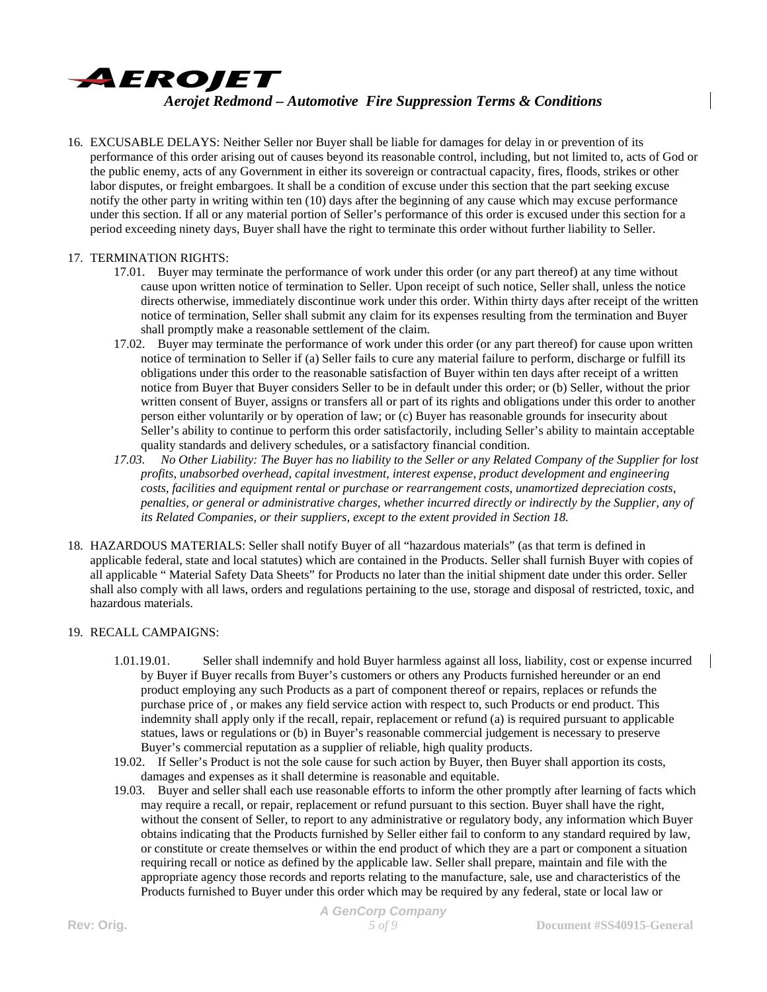

16. EXCUSABLE DELAYS: Neither Seller nor Buyer shall be liable for damages for delay in or prevention of its performance of this order arising out of causes beyond its reasonable control, including, but not limited to, acts of God or the public enemy, acts of any Government in either its sovereign or contractual capacity, fires, floods, strikes or other labor disputes, or freight embargoes. It shall be a condition of excuse under this section that the part seeking excuse notify the other party in writing within ten (10) days after the beginning of any cause which may excuse performance under this section. If all or any material portion of Seller's performance of this order is excused under this section for a period exceeding ninety days, Buyer shall have the right to terminate this order without further liability to Seller.

### 17. TERMINATION RIGHTS:

- 17.01. Buyer may terminate the performance of work under this order (or any part thereof) at any time without cause upon written notice of termination to Seller. Upon receipt of such notice, Seller shall, unless the notice directs otherwise, immediately discontinue work under this order. Within thirty days after receipt of the written notice of termination, Seller shall submit any claim for its expenses resulting from the termination and Buyer shall promptly make a reasonable settlement of the claim.
- 17.02. Buyer may terminate the performance of work under this order (or any part thereof) for cause upon written notice of termination to Seller if (a) Seller fails to cure any material failure to perform, discharge or fulfill its obligations under this order to the reasonable satisfaction of Buyer within ten days after receipt of a written notice from Buyer that Buyer considers Seller to be in default under this order; or (b) Seller, without the prior written consent of Buyer, assigns or transfers all or part of its rights and obligations under this order to another person either voluntarily or by operation of law; or (c) Buyer has reasonable grounds for insecurity about Seller's ability to continue to perform this order satisfactorily, including Seller's ability to maintain acceptable quality standards and delivery schedules, or a satisfactory financial condition.
- *17.03. No Other Liability: The Buyer has no liability to the Seller or any Related Company of the Supplier for lost profits, unabsorbed overhead, capital investment, interest expense, product development and engineering costs, facilities and equipment rental or purchase or rearrangement costs, unamortized depreciation costs, penalties, or general or administrative charges, whether incurred directly or indirectly by the Supplier, any of its Related Companies, or their suppliers, except to the extent provided in Section 18.*
- 18. HAZARDOUS MATERIALS: Seller shall notify Buyer of all "hazardous materials" (as that term is defined in applicable federal, state and local statutes) which are contained in the Products. Seller shall furnish Buyer with copies of all applicable " Material Safety Data Sheets" for Products no later than the initial shipment date under this order. Seller shall also comply with all laws, orders and regulations pertaining to the use, storage and disposal of restricted, toxic, and hazardous materials.

#### 19. RECALL CAMPAIGNS:

- 1.01.19.01. Seller shall indemnify and hold Buyer harmless against all loss, liability, cost or expense incurred by Buyer if Buyer recalls from Buyer's customers or others any Products furnished hereunder or an end product employing any such Products as a part of component thereof or repairs, replaces or refunds the purchase price of , or makes any field service action with respect to, such Products or end product. This indemnity shall apply only if the recall, repair, replacement or refund (a) is required pursuant to applicable statues, laws or regulations or (b) in Buyer's reasonable commercial judgement is necessary to preserve Buyer's commercial reputation as a supplier of reliable, high quality products.
- 19.02. If Seller's Product is not the sole cause for such action by Buyer, then Buyer shall apportion its costs, damages and expenses as it shall determine is reasonable and equitable.
- 19.03. Buyer and seller shall each use reasonable efforts to inform the other promptly after learning of facts which may require a recall, or repair, replacement or refund pursuant to this section. Buyer shall have the right, without the consent of Seller, to report to any administrative or regulatory body, any information which Buyer obtains indicating that the Products furnished by Seller either fail to conform to any standard required by law, or constitute or create themselves or within the end product of which they are a part or component a situation requiring recall or notice as defined by the applicable law. Seller shall prepare, maintain and file with the appropriate agency those records and reports relating to the manufacture, sale, use and characteristics of the Products furnished to Buyer under this order which may be required by any federal, state or local law or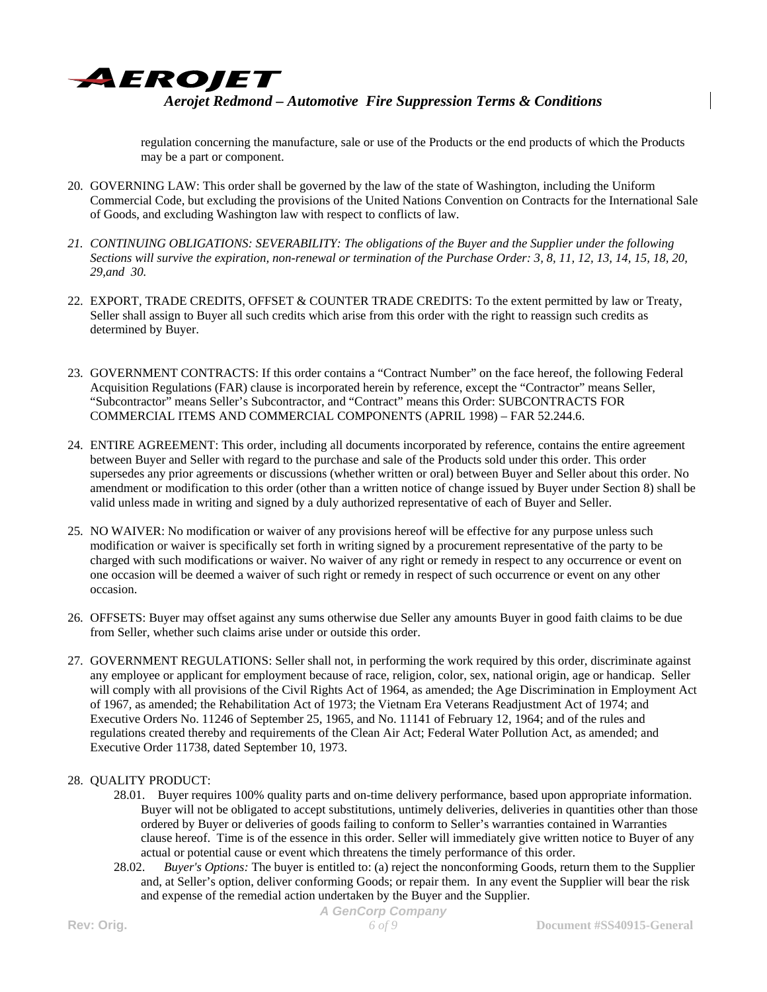

regulation concerning the manufacture, sale or use of the Products or the end products of which the Products may be a part or component.

- 20. GOVERNING LAW: This order shall be governed by the law of the state of Washington, including the Uniform Commercial Code, but excluding the provisions of the United Nations Convention on Contracts for the International Sale of Goods, and excluding Washington law with respect to conflicts of law.
- *21. CONTINUING OBLIGATIONS: SEVERABILITY: The obligations of the Buyer and the Supplier under the following Sections will survive the expiration, non-renewal or termination of the Purchase Order: 3, 8, 11, 12, 13, 14, 15, 18, 20, 29,and 30.*
- 22. EXPORT, TRADE CREDITS, OFFSET & COUNTER TRADE CREDITS: To the extent permitted by law or Treaty, Seller shall assign to Buyer all such credits which arise from this order with the right to reassign such credits as determined by Buyer.
- 23. GOVERNMENT CONTRACTS: If this order contains a "Contract Number" on the face hereof, the following Federal Acquisition Regulations (FAR) clause is incorporated herein by reference, except the "Contractor" means Seller, "Subcontractor" means Seller's Subcontractor, and "Contract" means this Order: SUBCONTRACTS FOR COMMERCIAL ITEMS AND COMMERCIAL COMPONENTS (APRIL 1998) – FAR 52.244.6.
- 24. ENTIRE AGREEMENT: This order, including all documents incorporated by reference, contains the entire agreement between Buyer and Seller with regard to the purchase and sale of the Products sold under this order. This order supersedes any prior agreements or discussions (whether written or oral) between Buyer and Seller about this order. No amendment or modification to this order (other than a written notice of change issued by Buyer under Section 8) shall be valid unless made in writing and signed by a duly authorized representative of each of Buyer and Seller.
- 25. NO WAIVER: No modification or waiver of any provisions hereof will be effective for any purpose unless such modification or waiver is specifically set forth in writing signed by a procurement representative of the party to be charged with such modifications or waiver. No waiver of any right or remedy in respect to any occurrence or event on one occasion will be deemed a waiver of such right or remedy in respect of such occurrence or event on any other occasion.
- 26. OFFSETS: Buyer may offset against any sums otherwise due Seller any amounts Buyer in good faith claims to be due from Seller, whether such claims arise under or outside this order.
- 27. GOVERNMENT REGULATIONS: Seller shall not, in performing the work required by this order, discriminate against any employee or applicant for employment because of race, religion, color, sex, national origin, age or handicap. Seller will comply with all provisions of the Civil Rights Act of 1964, as amended; the Age Discrimination in Employment Act of 1967, as amended; the Rehabilitation Act of 1973; the Vietnam Era Veterans Readjustment Act of 1974; and Executive Orders No. 11246 of September 25, 1965, and No. 11141 of February 12, 1964; and of the rules and regulations created thereby and requirements of the Clean Air Act; Federal Water Pollution Act, as amended; and Executive Order 11738, dated September 10, 1973.

### 28. QUALITY PRODUCT:

- 28.01. Buyer requires 100% quality parts and on-time delivery performance, based upon appropriate information. Buyer will not be obligated to accept substitutions, untimely deliveries, deliveries in quantities other than those ordered by Buyer or deliveries of goods failing to conform to Seller's warranties contained in Warranties clause hereof. Time is of the essence in this order. Seller will immediately give written notice to Buyer of any actual or potential cause or event which threatens the timely performance of this order.
- 28.02. *Buyer's Options:* The buyer is entitled to: (a) reject the nonconforming Goods, return them to the Supplier and, at Seller's option, deliver conforming Goods; or repair them. In any event the Supplier will bear the risk and expense of the remedial action undertaken by the Buyer and the Supplier.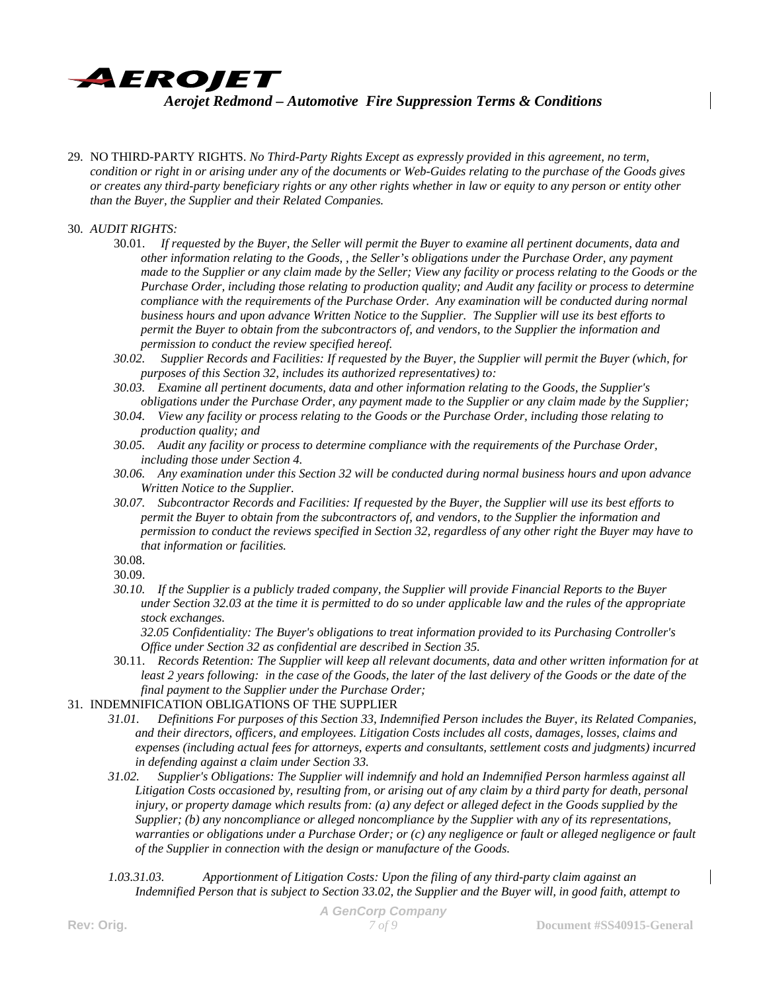

- 29. NO THIRD-PARTY RIGHTS. *No Third-Party Rights Except as expressly provided in this agreement, no term, condition or right in or arising under any of the documents or Web-Guides relating to the purchase of the Goods gives or creates any third-party beneficiary rights or any other rights whether in law or equity to any person or entity other than the Buyer, the Supplier and their Related Companies.*
- 30. *AUDIT RIGHTS:*
	- 30.01. *If requested by the Buyer, the Seller will permit the Buyer to examine all pertinent documents, data and other information relating to the Goods, , the Seller's obligations under the Purchase Order, any payment made to the Supplier or any claim made by the Seller; View any facility or process relating to the Goods or the Purchase Order, including those relating to production quality; and Audit any facility or process to determine compliance with the requirements of the Purchase Order. Any examination will be conducted during normal business hours and upon advance Written Notice to the Supplier. The Supplier will use its best efforts to permit the Buyer to obtain from the subcontractors of, and vendors, to the Supplier the information and permission to conduct the review specified hereof.*
	- *30.02. Supplier Records and Facilities: If requested by the Buyer, the Supplier will permit the Buyer (which, for purposes of this Section 32, includes its authorized representatives) to:*
	- *30.03. Examine all pertinent documents, data and other information relating to the Goods, the Supplier's obligations under the Purchase Order, any payment made to the Supplier or any claim made by the Supplier;*
	- *30.04. View any facility or process relating to the Goods or the Purchase Order, including those relating to production quality; and*
	- *30.05. Audit any facility or process to determine compliance with the requirements of the Purchase Order, including those under Section 4.*
	- *30.06. Any examination under this Section 32 will be conducted during normal business hours and upon advance Written Notice to the Supplier.*
	- *30.07. Subcontractor Records and Facilities: If requested by the Buyer, the Supplier will use its best efforts to permit the Buyer to obtain from the subcontractors of, and vendors, to the Supplier the information and permission to conduct the reviews specified in Section 32, regardless of any other right the Buyer may have to that information or facilities.*
	- 30.08.

*30.10. If the Supplier is a publicly traded company, the Supplier will provide Financial Reports to the Buyer under Section 32.03 at the time it is permitted to do so under applicable law and the rules of the appropriate stock exchanges.* 

*32.05 Confidentiality: The Buyer's obligations to treat information provided to its Purchasing Controller's Office under Section 32 as confidential are described in Section 35.* 

- 30.11. *Records Retention: The Supplier will keep all relevant documents, data and other written information for at least 2 years following: in the case of the Goods, the later of the last delivery of the Goods or the date of the final payment to the Supplier under the Purchase Order;*
- 31. INDEMNIFICATION OBLIGATIONS OF THE SUPPLIER
	- *31.01. Definitions For purposes of this Section 33, Indemnified Person includes the Buyer, its Related Companies, and their directors, officers, and employees. Litigation Costs includes all costs, damages, losses, claims and expenses (including actual fees for attorneys, experts and consultants, settlement costs and judgments) incurred in defending against a claim under Section 33.*
	- *31.02. Supplier's Obligations: The Supplier will indemnify and hold an Indemnified Person harmless against all Litigation Costs occasioned by, resulting from, or arising out of any claim by a third party for death, personal injury, or property damage which results from: (a) any defect or alleged defect in the Goods supplied by the Supplier; (b) any noncompliance or alleged noncompliance by the Supplier with any of its representations,*  warranties or obligations under a Purchase Order; or (c) any negligence or fault or alleged negligence or fault *of the Supplier in connection with the design or manufacture of the Goods.*
	- *1.03.31.03. Apportionment of Litigation Costs: Upon the filing of any third-party claim against an Indemnified Person that is subject to Section 33.02, the Supplier and the Buyer will, in good faith, attempt to*

<sup>30.09.</sup>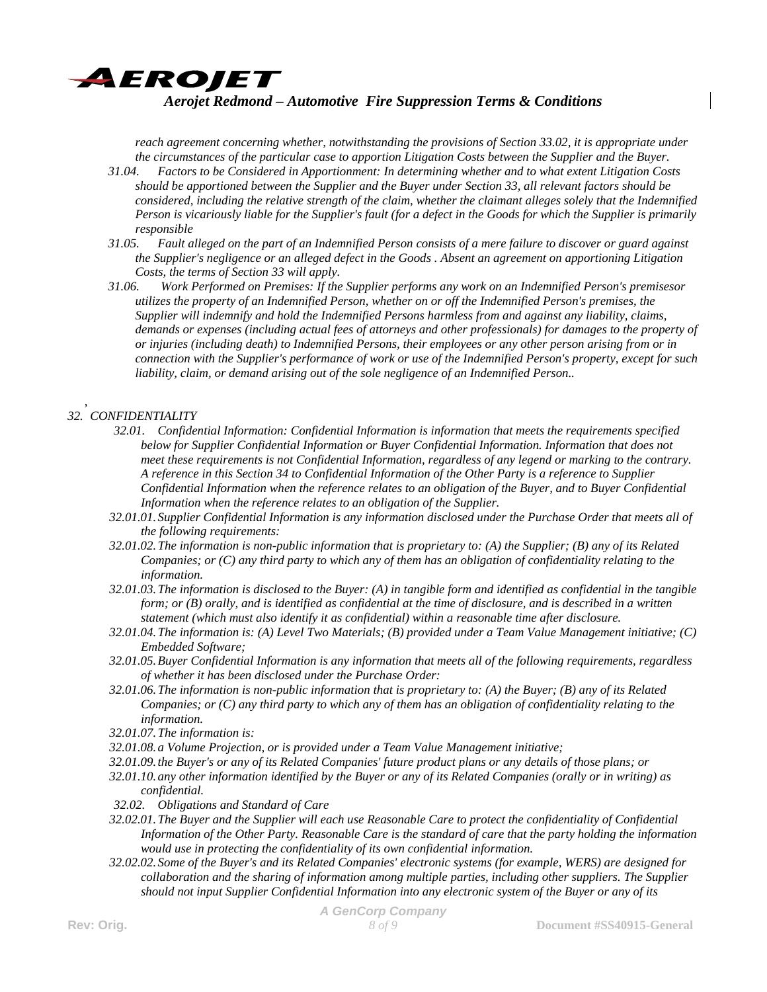

*reach agreement concerning whether, notwithstanding the provisions of Section 33.02, it is appropriate under the circumstances of the particular case to apportion Litigation Costs between the Supplier and the Buyer.* 

- *31.04. Factors to be Considered in Apportionment: In determining whether and to what extent Litigation Costs should be apportioned between the Supplier and the Buyer under Section 33, all relevant factors should be considered, including the relative strength of the claim, whether the claimant alleges solely that the Indemnified Person is vicariously liable for the Supplier's fault (for a defect in the Goods for which the Supplier is primarily responsible*
- *31.05. Fault alleged on the part of an Indemnified Person consists of a mere failure to discover or guard against the Supplier's negligence or an alleged defect in the Goods . Absent an agreement on apportioning Litigation Costs, the terms of Section 33 will apply.*
- *31.06. Work Performed on Premises: If the Supplier performs any work on an Indemnified Person's premisesor utilizes the property of an Indemnified Person, whether on or off the Indemnified Person's premises, the Supplier will indemnify and hold the Indemnified Persons harmless from and against any liability, claims, demands or expenses (including actual fees of attorneys and other professionals) for damages to the property of or injuries (including death) to Indemnified Persons, their employees or any other person arising from or in connection with the Supplier's performance of work or use of the Indemnified Person's property, except for such liability, claim, or demand arising out of the sole negligence of an Indemnified Person..*

#### , *32. CONFIDENTIALITY*

- *32.01. Confidential Information: Confidential Information is information that meets the requirements specified below for Supplier Confidential Information or Buyer Confidential Information. Information that does not meet these requirements is not Confidential Information, regardless of any legend or marking to the contrary. A reference in this Section 34 to Confidential Information of the Other Party is a reference to Supplier Confidential Information when the reference relates to an obligation of the Buyer, and to Buyer Confidential Information when the reference relates to an obligation of the Supplier.*
- *32.01.01.Supplier Confidential Information is any information disclosed under the Purchase Order that meets all of the following requirements:*
- *32.01.02.The information is non-public information that is proprietary to: (A) the Supplier; (B) any of its Related Companies; or (C) any third party to which any of them has an obligation of confidentiality relating to the information.*
- *32.01.03.The information is disclosed to the Buyer: (A) in tangible form and identified as confidential in the tangible form; or (B) orally, and is identified as confidential at the time of disclosure, and is described in a written statement (which must also identify it as confidential) within a reasonable time after disclosure.*
- *32.01.04.The information is: (A) Level Two Materials; (B) provided under a Team Value Management initiative; (C) Embedded Software;*
- *32.01.05.Buyer Confidential Information is any information that meets all of the following requirements, regardless of whether it has been disclosed under the Purchase Order:*
- *32.01.06.The information is non-public information that is proprietary to: (A) the Buyer; (B) any of its Related Companies; or (C) any third party to which any of them has an obligation of confidentiality relating to the information.*
- *32.01.07.The information is:*
- *32.01.08.a Volume Projection, or is provided under a Team Value Management initiative;*
- *32.01.09.the Buyer's or any of its Related Companies' future product plans or any details of those plans; or*
- *32.01.10.any other information identified by the Buyer or any of its Related Companies (orally or in writing) as confidential.*
- *32.02. Obligations and Standard of Care*
- *32.02.01.The Buyer and the Supplier will each use Reasonable Care to protect the confidentiality of Confidential Information of the Other Party. Reasonable Care is the standard of care that the party holding the information would use in protecting the confidentiality of its own confidential information.*
- *32.02.02.Some of the Buyer's and its Related Companies' electronic systems (for example, WERS) are designed for collaboration and the sharing of information among multiple parties, including other suppliers. The Supplier should not input Supplier Confidential Information into any electronic system of the Buyer or any of its*